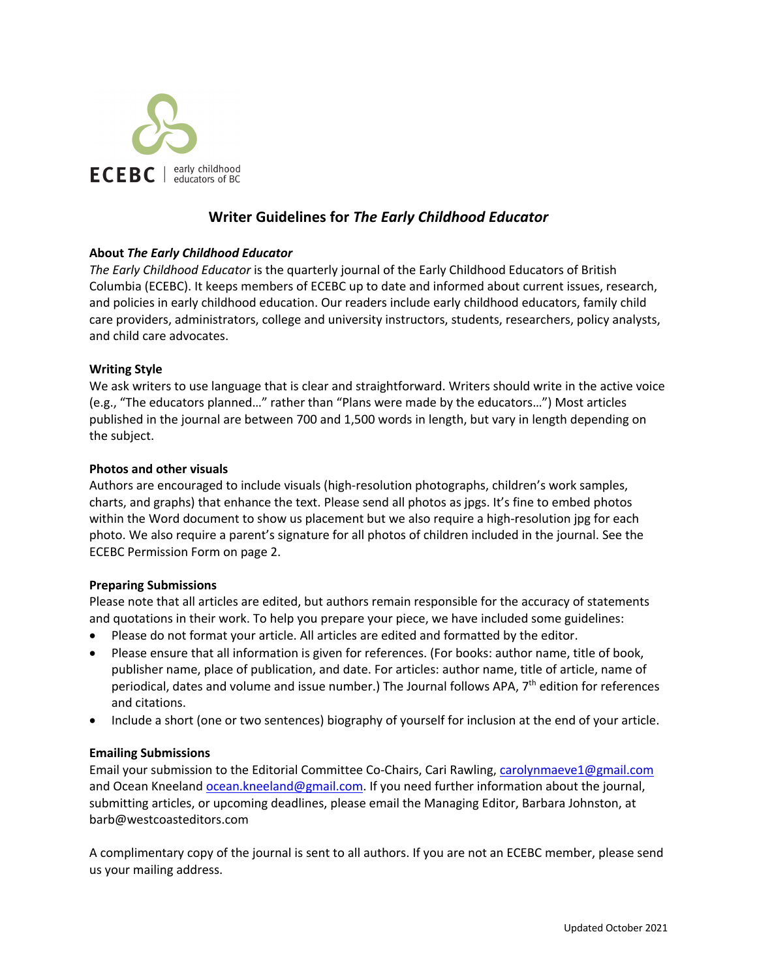

# **Writer Guidelines for** *The Early Childhood Educator*

# **About** *The Early Childhood Educator*

*The Early Childhood Educator* is the quarterly journal of the Early Childhood Educators of British Columbia (ECEBC). It keeps members of ECEBC up to date and informed about current issues, research, and policies in early childhood education. Our readers include early childhood educators, family child care providers, administrators, college and university instructors, students, researchers, policy analysts, and child care advocates.

# **Writing Style**

We ask writers to use language that is clear and straightforward. Writers should write in the active voice (e.g., "The educators planned…" rather than "Plans were made by the educators…") Most articles published in the journal are between 700 and 1,500 words in length, but vary in length depending on the subject.

#### **Photos and other visuals**

Authors are encouraged to include visuals (high-resolution photographs, children's work samples, charts, and graphs) that enhance the text. Please send all photos as jpgs. It's fine to embed photos within the Word document to show us placement but we also require a high-resolution jpg for each photo. We also require a parent's signature for all photos of children included in the journal. See the ECEBC Permission Form on page 2.

# **Preparing Submissions**

Please note that all articles are edited, but authors remain responsible for the accuracy of statements and quotations in their work. To help you prepare your piece, we have included some guidelines:

- Please do not format your article. All articles are edited and formatted by the editor.
- Please ensure that all information is given for references. (For books: author name, title of book, publisher name, place of publication, and date. For articles: author name, title of article, name of periodical, dates and volume and issue number.) The Journal follows APA, 7<sup>th</sup> edition for references and citations.
- Include a short (one or two sentences) biography of yourself for inclusion at the end of your article.

# **Emailing Submissions**

Email your submission to the Editorial Committee Co-Chairs, Cari Rawling, carolynmaeve1@gmail.com and Ocean Kneeland ocean.kneeland@gmail.com. If you need further information about the journal, submitting articles, or upcoming deadlines, please email the Managing Editor, Barbara Johnston, at barb@westcoasteditors.com

A complimentary copy of the journal is sent to all authors. If you are not an ECEBC member, please send us your mailing address.